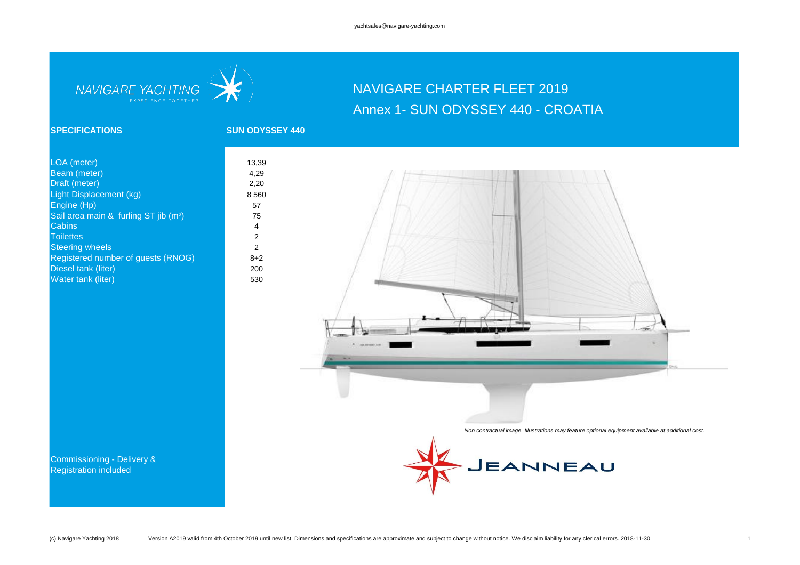

# NAVIGARE CHARTER FLEET 2019 Annex 1- SUN ODYSSEY 440 - CROATIA

### **SPECIFICATIONS SUN ODYSSEY 440**

| LOA (meter)                                       | 13,39          |
|---------------------------------------------------|----------------|
| Beam (meter)                                      | 4,29           |
| Draft (meter)                                     | 2,20           |
| Light Displacement (kg)                           | 8 5 6 0        |
| Engine (Hp)                                       | 57             |
| Sail area main & furling ST jib (m <sup>2</sup> ) | 75             |
| Cabins                                            | 4              |
| <b>Toilettes</b>                                  | $\overline{2}$ |
| <b>Steering wheels</b>                            | 2              |
| Registered number of guests (RNOG)                | $8 + 2$        |
| Diesel tank (liter)                               | 200            |
| Water tank (liter)                                | 530            |
|                                                   |                |



*Non contractual image. Illustrations may feature optional equipment available at additional cost.*



Commissioning - Delivery & Registration included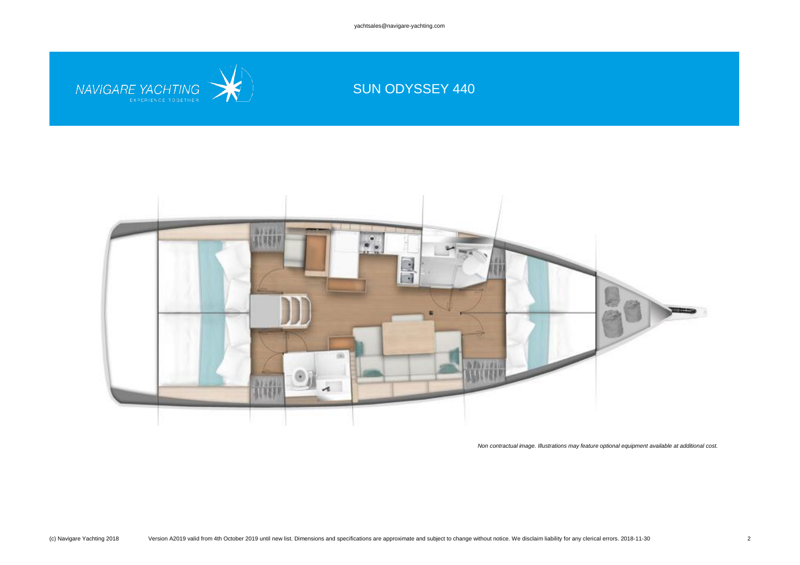yachtsales@navigare-yachting.com



# SUN ODYSSEY 440



*Non contractual image. Illustrations may feature optional equipment available at additional cost.*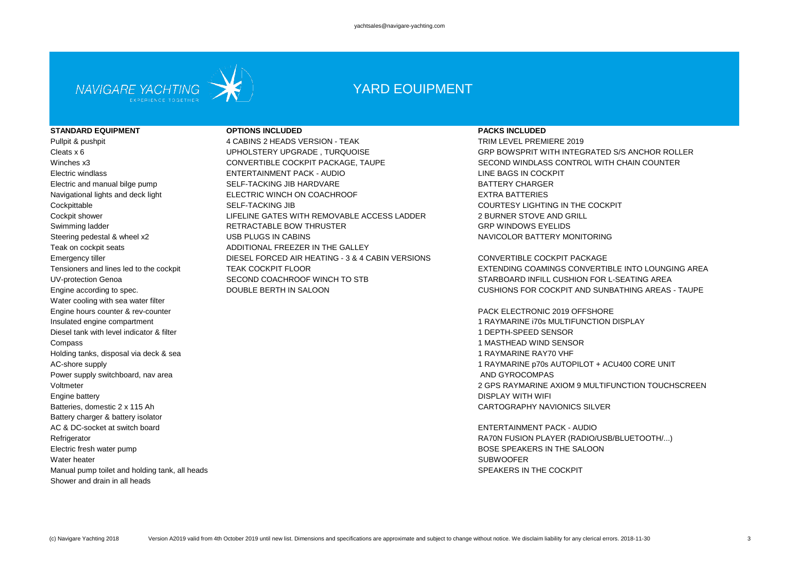

## YARD EQUIPMENT

#### **STANDARD EQUIPMENT OPTIONS INCLUDED PACKS INCLUDED**

Teak on cockpit seats **ADDITIONAL FREEZER IN THE GALLEY** Water cooling with sea water filter Engine hours counter & rev-counter **PACK ELECTRONIC 2019 OFFSHORE** Diesel tank with level indicator & filter 1 DEPTH-SPEED SENSOR Compass 1 MASTHEAD WIND SENSOR Holding tanks, disposal via deck & sea 1 RAYMARINE RAY70 VHF Power supply switchboard, nav area AND GYROCOMPAS AND GYROCOMPAS Engine battery DISPLAY WITH WIFI Batteries, domestic 2 x 115 Ah CARTOGRAPHY NAVIONICS SILVER Battery charger & battery isolator AC & DC-socket at switch board ENTERTAINMENT PACK - AUDIO Electric fresh water pump BOSE SPEAKERS IN THE SALOON Water heater SUBWOOFER Manual pump toilet and holding tank, all heads SPEAKERS IN THE COCKPIT Shower and drain in all heads

Pullpit & pushpit TRIM LEVEL PREMIERE 2019 Winches x3 CONVERTIBLE COCKPIT PACKAGE, TAUPE SECOND WINDLASS CONTROL WITH CHAIN COUNTER Electric windlass ENTERTAINMENT PACK - AUDIO LINE BAGS IN COCKPIT Electric and manual bilge pump SELF-TACKING JIB HARDVARE **SELF-TACKING** AND RATTERY CHARGER Navigational lights and deck light ELECTRIC WINCH ON COACHROOF EXTRA BATTERIES Cockpittable **SELF-TACKING JIB** SELF-TACKING JIB COURTESY LIGHTING IN THE COCKPIT Cockpit shower **EXECUTE:** LIFELINE GATES WITH REMOVABLE ACCESS LADDER 2 BURNER STOVE AND GRILL Swimming ladder RETRACTABLE BOW THRUSTER GRP WINDOWS EYELIDS Steering pedestal & wheel x2 **USB PLUGS IN CABINS** NAVICOLOR BATTERY MONITORING Emergency tiller **Emergency tiller** COCKPIT PACKAGE DIESEL FORCED AIR HEATING - 3 & 4 CABIN VERSIONS CONVERTIBLE COCKPIT PACKAGE UV-protection Genoa SECOND COACHROOF WINCH TO STB STARBOARD INFILL CUSHION FOR L-SEATING AREA

Cleats x 6 UPHOLSTERY UPGRADE , TURQUOISE GRP BOWSPRIT WITH INTEGRATED S/S ANCHOR ROLLER

Tensioners and lines led to the cockpit TEAK COCKPIT FLOOR TEAK COCKPIT FLOOR EXTENDING COAMINGS CONVERTIBLE INTO LOUNGING AREA Engine according to spec. The South COUBLE BERTH IN SALOON CUSHIONS FOR COCKPIT AND SUNBATHING AREAS - TAUPE

Insulated engine compartment 1 RAYMARINE i70s MULTIFUNCTION DISPLAY AC-shore supply 1 RAYMARINE p70s AUTOPILOT + ACU400 CORE UNIT Voltmeter 2 GPS RAYMARINE AXIOM 9 MULTIFUNCTION TOUCHSCREEN

Refrigerator RA70N FUSION PLAYER (RADIO/USB/BLUETOOTH/...)